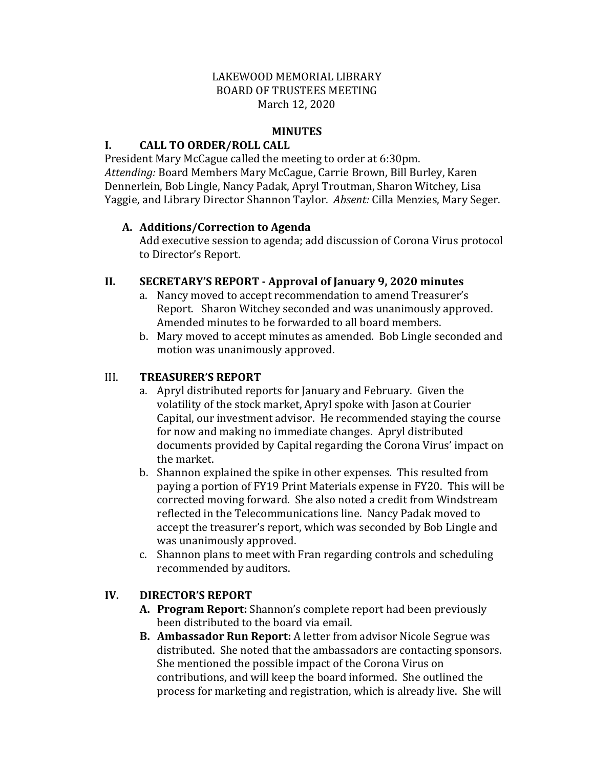#### LAKEWOOD MEMORIAL LIBRARY BOARD OF TRUSTEES MEETING March 12, 2020

#### **MINUTES**

## **I. CALL TO ORDER/ROLL CALL**

President Mary McCague called the meeting to order at 6:30pm. *Attending:* Board Members Mary McCague, Carrie Brown, Bill Burley, Karen Dennerlein, Bob Lingle, Nancy Padak, Apryl Troutman, Sharon Witchey, Lisa Yaggie, and Library Director Shannon Taylor. *Absent:* Cilla Menzies, Mary Seger.

## **A. Additions/Correction to Agenda**

Add executive session to agenda; add discussion of Corona Virus protocol to Director's Report.

## **II. SECRETARY'S REPORT - Approval of January 9, 2020 minutes**

- a. Nancy moved to accept recommendation to amend Treasurer's Report. Sharon Witchey seconded and was unanimously approved. Amended minutes to be forwarded to all board members.
- b. Mary moved to accept minutes as amended. Bob Lingle seconded and motion was unanimously approved.

## III. **TREASURER'S REPORT**

- a. Apryl distributed reports for January and February. Given the volatility of the stock market, Apryl spoke with Jason at Courier Capital, our investment advisor. He recommended staying the course for now and making no immediate changes. Apryl distributed documents provided by Capital regarding the Corona Virus' impact on the market.
- b. Shannon explained the spike in other expenses. This resulted from paying a portion of FY19 Print Materials expense in FY20. This will be corrected moving forward. She also noted a credit from Windstream reflected in the Telecommunications line. Nancy Padak moved to accept the treasurer's report, which was seconded by Bob Lingle and was unanimously approved.
- c. Shannon plans to meet with Fran regarding controls and scheduling recommended by auditors.

# **IV. DIRECTOR'S REPORT**

- **A. Program Report:** Shannon's complete report had been previously been distributed to the board via email.
- **B. Ambassador Run Report:** A letter from advisor Nicole Segrue was distributed. She noted that the ambassadors are contacting sponsors. She mentioned the possible impact of the Corona Virus on contributions, and will keep the board informed. She outlined the process for marketing and registration, which is already live. She will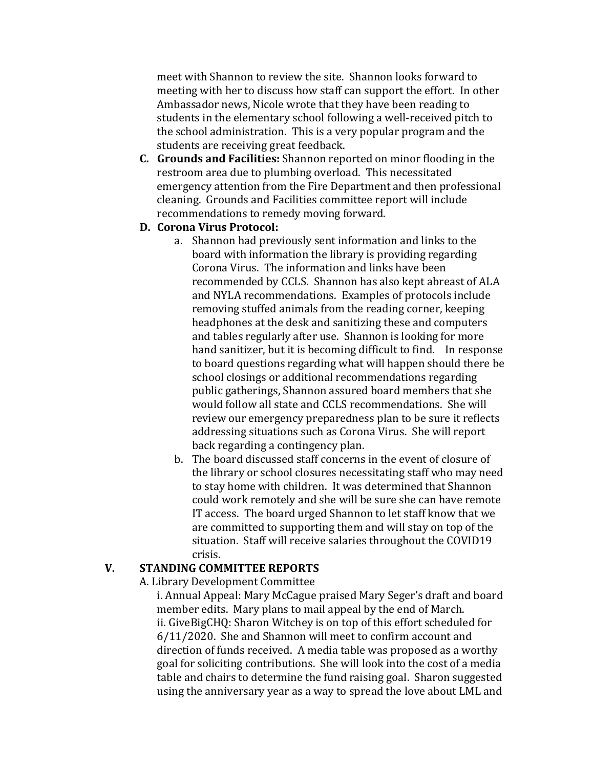meet with Shannon to review the site. Shannon looks forward to meeting with her to discuss how staff can support the effort. In other Ambassador news, Nicole wrote that they have been reading to students in the elementary school following a well-received pitch to the school administration. This is a very popular program and the students are receiving great feedback.

**C. Grounds and Facilities:** Shannon reported on minor flooding in the restroom area due to plumbing overload. This necessitated emergency attention from the Fire Department and then professional cleaning. Grounds and Facilities committee report will include recommendations to remedy moving forward.

#### **D. Corona Virus Protocol:**

- a. Shannon had previously sent information and links to the board with information the library is providing regarding Corona Virus. The information and links have been recommended by CCLS. Shannon has also kept abreast of ALA and NYLA recommendations. Examples of protocols include removing stuffed animals from the reading corner, keeping headphones at the desk and sanitizing these and computers and tables regularly after use. Shannon is looking for more hand sanitizer, but it is becoming difficult to find. In response to board questions regarding what will happen should there be school closings or additional recommendations regarding public gatherings, Shannon assured board members that she would follow all state and CCLS recommendations. She will review our emergency preparedness plan to be sure it reflects addressing situations such as Corona Virus. She will report back regarding a contingency plan.
- b. The board discussed staff concerns in the event of closure of the library or school closures necessitating staff who may need to stay home with children. It was determined that Shannon could work remotely and she will be sure she can have remote IT access. The board urged Shannon to let staff know that we are committed to supporting them and will stay on top of the situation. Staff will receive salaries throughout the COVID19 crisis.

## **V. STANDING COMMITTEE REPORTS**

A. Library Development Committee

i. Annual Appeal: Mary McCague praised Mary Seger's draft and board member edits. Mary plans to mail appeal by the end of March. ii. GiveBigCHQ: Sharon Witchey is on top of this effort scheduled for 6/11/2020. She and Shannon will meet to confirm account and direction of funds received. A media table was proposed as a worthy goal for soliciting contributions. She will look into the cost of a media table and chairs to determine the fund raising goal. Sharon suggested using the anniversary year as a way to spread the love about LML and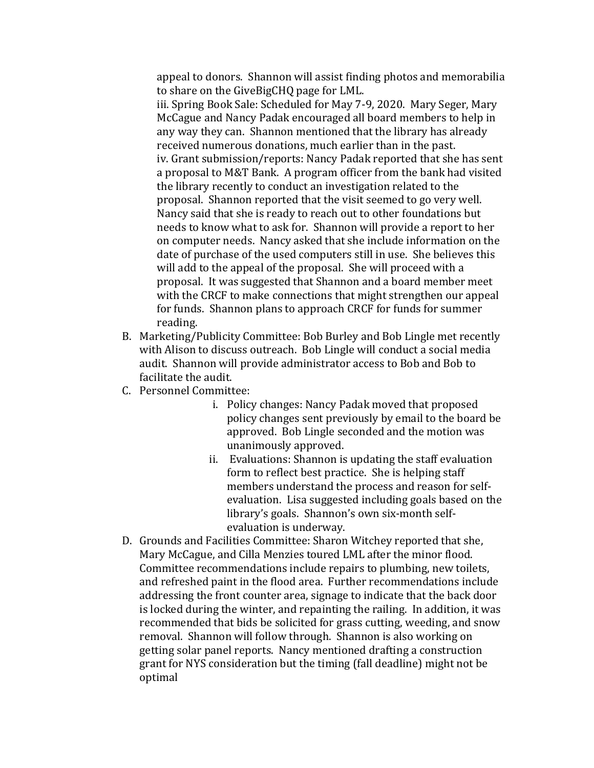appeal to donors. Shannon will assist finding photos and memorabilia to share on the GiveBigCHQ page for LML.

iii. Spring Book Sale: Scheduled for May 7-9, 2020. Mary Seger, Mary McCague and Nancy Padak encouraged all board members to help in any way they can. Shannon mentioned that the library has already received numerous donations, much earlier than in the past. iv. Grant submission/reports: Nancy Padak reported that she has sent a proposal to M&T Bank. A program officer from the bank had visited the library recently to conduct an investigation related to the proposal. Shannon reported that the visit seemed to go very well. Nancy said that she is ready to reach out to other foundations but needs to know what to ask for. Shannon will provide a report to her on computer needs. Nancy asked that she include information on the date of purchase of the used computers still in use. She believes this will add to the appeal of the proposal. She will proceed with a proposal. It was suggested that Shannon and a board member meet with the CRCF to make connections that might strengthen our appeal for funds. Shannon plans to approach CRCF for funds for summer reading.

- B. Marketing/Publicity Committee: Bob Burley and Bob Lingle met recently with Alison to discuss outreach. Bob Lingle will conduct a social media audit. Shannon will provide administrator access to Bob and Bob to facilitate the audit.
- C. Personnel Committee:
	- i. Policy changes: Nancy Padak moved that proposed policy changes sent previously by email to the board be approved. Bob Lingle seconded and the motion was unanimously approved.
	- ii. Evaluations: Shannon is updating the staff evaluation form to reflect best practice. She is helping staff members understand the process and reason for selfevaluation. Lisa suggested including goals based on the library's goals. Shannon's own six-month selfevaluation is underway.
- D. Grounds and Facilities Committee: Sharon Witchey reported that she, Mary McCague, and Cilla Menzies toured LML after the minor flood. Committee recommendations include repairs to plumbing, new toilets, and refreshed paint in the flood area. Further recommendations include addressing the front counter area, signage to indicate that the back door is locked during the winter, and repainting the railing. In addition, it was recommended that bids be solicited for grass cutting, weeding, and snow removal. Shannon will follow through. Shannon is also working on getting solar panel reports. Nancy mentioned drafting a construction grant for NYS consideration but the timing (fall deadline) might not be optimal